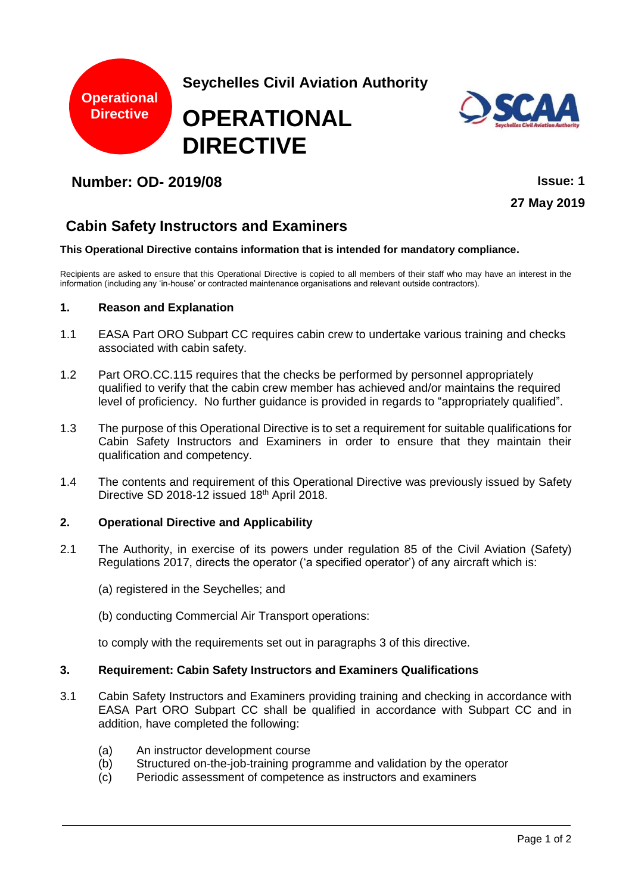



## **Number: OD- 2019/08 Issue: 1**

**27 May 2019**

# **Cabin Safety Instructors and Examiners**

#### **This Operational Directive contains information that is intended for mandatory compliance.**

Recipients are asked to ensure that this Operational Directive is copied to all members of their staff who may have an interest in the information (including any 'in-house' or contracted maintenance organisations and relevant outside contractors).

### **1. Reason and Explanation**

- 1.1 EASA Part ORO Subpart CC requires cabin crew to undertake various training and checks associated with cabin safety.
- 1.2 Part ORO.CC.115 requires that the checks be performed by personnel appropriately qualified to verify that the cabin crew member has achieved and/or maintains the required level of proficiency. No further guidance is provided in regards to "appropriately qualified".
- 1.3 The purpose of this Operational Directive is to set a requirement for suitable qualifications for Cabin Safety Instructors and Examiners in order to ensure that they maintain their qualification and competency.
- 1.4 The contents and requirement of this Operational Directive was previously issued by Safety Directive SD 2018-12 issued 18th April 2018.

### **2. Operational Directive and Applicability**

- 2.1 The Authority, in exercise of its powers under regulation 85 of the Civil Aviation (Safety) Regulations 2017, directs the operator ('a specified operator') of any aircraft which is:
	- (a) registered in the Seychelles; and
	- (b) conducting Commercial Air Transport operations:

to comply with the requirements set out in paragraphs 3 of this directive.

### **3. Requirement: Cabin Safety Instructors and Examiners Qualifications**

- 3.1 Cabin Safety Instructors and Examiners providing training and checking in accordance with EASA Part ORO Subpart CC shall be qualified in accordance with Subpart CC and in addition, have completed the following:
	- (a) An instructor development course
	- (b) Structured on-the-job-training programme and validation by the operator
	- (c) Periodic assessment of competence as instructors and examiners